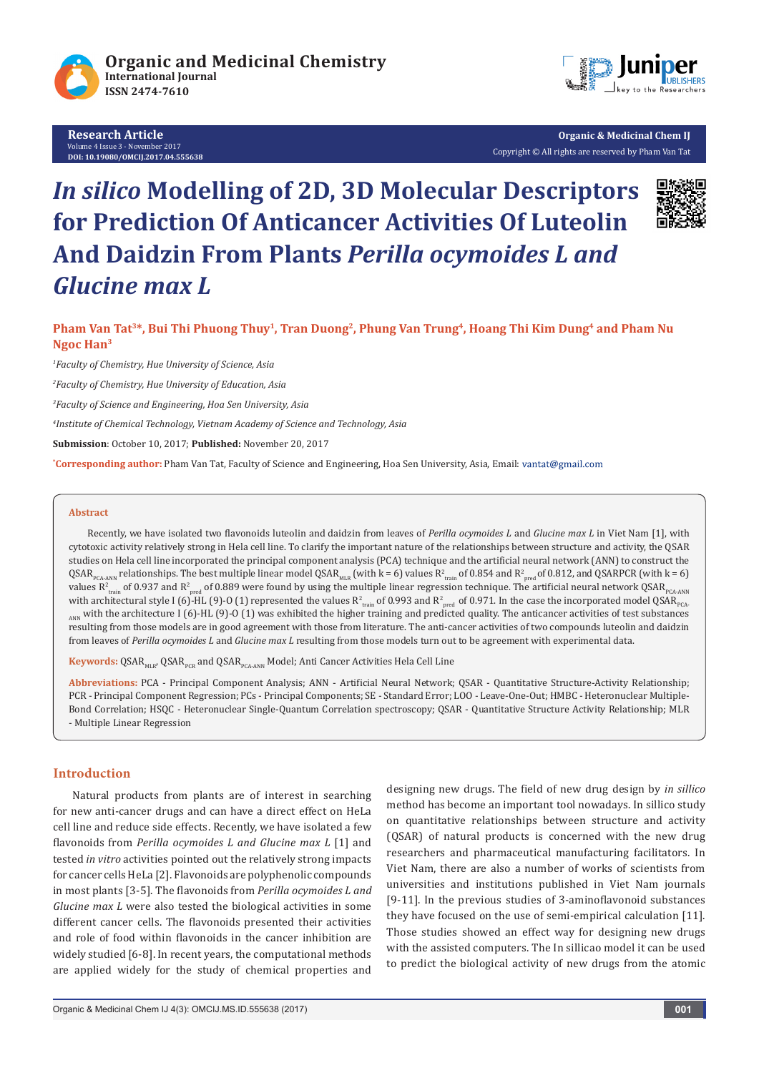

**Research Article** Volume 4 Issue 3 - November 2017 **DOI: 10.19080/OMCIJ.2017.04.555638**



**Organic & Medicinal Chem IJ** Copyright © All rights are reserved by Pham Van Tat

# *In silico* **Modelling of 2D, 3D Molecular Descriptors for Prediction Of Anticancer Activities Of Luteolin And Daidzin From Plants** *Perilla ocymoides L and Glucine max L*



**Pham Van Tat3\*, Bui Thi Phuong Thuy1, Tran Duong2, Phung Van Trung4, Hoang Thi Kim Dung4 and Pham Nu Ngoc Han3**

*1 Faculty of Chemistry, Hue University of Science, Asia*

*2 Faculty of Chemistry, Hue University of Education, Asia*

*3 Faculty of Science and Engineering, Hoa Sen University, Asia*

*4 Institute of Chemical Technology, Vietnam Academy of Science and Technology, Asia*

**Submission**: October 10, 2017; **Published:** November 20, 2017

**\* Corresponding author:** Pham Van Tat, Faculty of Science and Engineering, Hoa Sen University, Asia, Email:

#### **Abstract**

Recently, we have isolated two flavonoids luteolin and daidzin from leaves of *Perilla ocymoides L* and *Glucine max L* in Viet Nam [1], with cytotoxic activity relatively strong in Hela cell line. To clarify the important nature of the relationships between structure and activity, the QSAR studies on Hela cell line incorporated the principal component analysis (PCA) technique and the artificial neural network (ANN) to construct the  $\rm QSAR_{_{PCAANN}}$  relationships. The best multiple linear model  $\rm QSAR_{_{MLR}}$  (with k = 6) values  $\rm R^2_{\rm train}$  of 0.854 and  $\rm R^2_{\rm pred}$ of 0.812, and QSARPCR (with k = 6) values R $^2$ <sub>train</sub> of 0.937 and R $^2$ <sub>pred</sub> of 0.889 were found by using the multiple linear regression technique. The artificial neural network QSAR<sub>PCA-ANN</sub> with architectural style I (6)-HL (9)-O (1) represented the values  $R^2_{train}$  of 0.993 and  $R^2_{pred}$  of 0.971. In the case the incorporated model QSAR $_{p_{C\Lambda}}$ ANN with the architecture I (6)-HL (9)-O (1) was exhibited the higher training and predicted quality. The anticancer activities of test substances resulting from those models are in good agreement with those from literature. The anti-cancer activities of two compounds luteolin and daidzin from leaves of *Perilla ocymoides L* and *Glucine max L* resulting from those models turn out to be agreement with experimental data.

Keywords: QSAR<sub>MLR</sub>, QSAR<sub>PCR</sub> and QSAR<sub>PCA-ANN</sub> Model; Anti Cancer Activities Hela Cell Line

**Abbreviations:** PCA - Principal Component Analysis; ANN - Artificial Neural Network; QSAR - Quantitative Structure-Activity Relationship; PCR - Principal Component Regression; PCs - Principal Components; SE - Standard Error; LOO - Leave-One-Out; HMBC - Heteronuclear Multiple-Bond Correlation; HSQC - Heteronuclear Single-Quantum Correlation spectroscopy; QSAR - Quantitative Structure Activity Relationship; MLR - Multiple Linear Regression

## **Introduction**

Natural products from plants are of interest in searching for new anti-cancer drugs and can have a direct effect on HeLa cell line and reduce side effects. Recently, we have isolated a few flavonoids from *Perilla ocymoides L and Glucine max L* [1] and tested *in vitro* activities pointed out the relatively strong impacts for cancer cells HeLa [2]. Flavonoids are polyphenolic compounds in most plants [3-5]. The flavonoids from *Perilla ocymoides L and Glucine max L* were also tested the biological activities in some different cancer cells. The flavonoids presented their activities and role of food within flavonoids in the cancer inhibition are widely studied [6-8]. In recent years, the computational methods are applied widely for the study of chemical properties and designing new drugs. The field of new drug design by *in sillico*  method has become an important tool nowadays. In sillico study on quantitative relationships between structure and activity (QSAR) of natural products is concerned with the new drug researchers and pharmaceutical manufacturing facilitators. In Viet Nam, there are also a number of works of scientists from universities and institutions published in Viet Nam journals [9-11]. In the previous studies of 3-aminoflavonoid substances they have focused on the use of semi-empirical calculation [11]. Those studies showed an effect way for designing new drugs with the assisted computers. The In sillicao model it can be used to predict the biological activity of new drugs from the atomic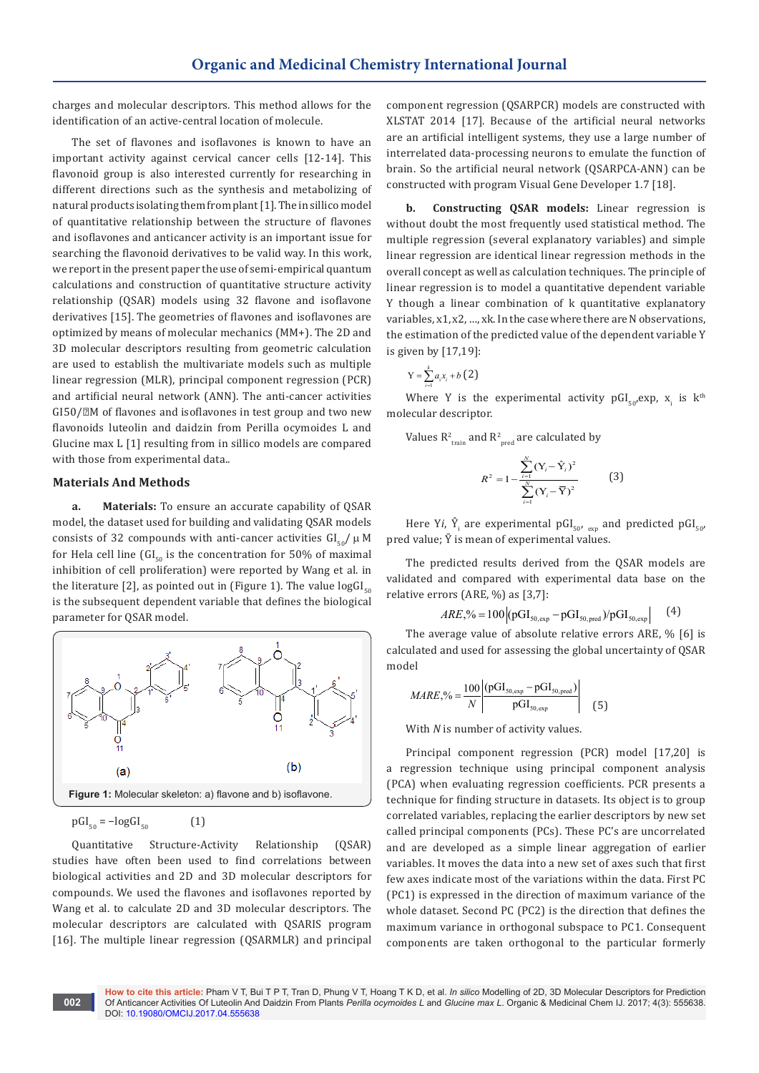charges and molecular descriptors. This method allows for the identification of an active-central location of molecule.

The set of flavones and isoflavones is known to have an important activity against cervical cancer cells [12-14]. This flavonoid group is also interested currently for researching in different directions such as the synthesis and metabolizing of natural products isolating them from plant [1]. The in sillico model of quantitative relationship between the structure of flavones and isoflavones and anticancer activity is an important issue for searching the flavonoid derivatives to be valid way. In this work, we report in the present paper the use of semi-empirical quantum calculations and construction of quantitative structure activity relationship (QSAR) models using 32 flavone and isoflavone derivatives [15]. The geometries of flavones and isoflavones are optimized by means of molecular mechanics (MM+). The 2D and 3D molecular descriptors resulting from geometric calculation are used to establish the multivariate models such as multiple linear regression (MLR), principal component regression (PCR) and artificial neural network (ANN). The anti-cancer activities  $GI50/<sub>2</sub>M$  of flavones and isoflavones in test group and two new flavonoids luteolin and daidzin from Perilla ocymoides L and Glucine max L [1] resulting from in sillico models are compared with those from experimental data..

### **Materials And Methods**

**a. Materials:** To ensure an accurate capability of QSAR model, the dataset used for building and validating QSAR models consists of 32 compounds with anti-cancer activities  $GI<sub>50</sub>/\mu M$ for Hela cell line  $\left[\text{GI}_{50}\right]$  is the concentration for 50% of maximal inhibition of cell proliferation) were reported by Wang et al. in the literature [2], as pointed out in (Figure 1). The value  $logGI_{50}$ is the subsequent dependent variable that defines the biological parameter for QSAR model.



$$
\text{pGI}_{50} = -\log \text{GI}_{50} \tag{1}
$$

**002**

Quantitative Structure-Activity Relationship (QSAR) studies have often been used to find correlations between biological activities and 2D and 3D molecular descriptors for compounds. We used the flavones and isoflavones reported by Wang et al. to calculate 2D and 3D molecular descriptors. The molecular descriptors are calculated with QSARIS program [16]. The multiple linear regression (QSARMLR) and principal

component regression (QSARPCR) models are constructed with XLSTAT 2014 [17]. Because of the artificial neural networks are an artificial intelligent systems, they use a large number of interrelated data-processing neurons to emulate the function of brain. So the artificial neural network (QSARPCA-ANN) can be constructed with program Visual Gene Developer 1.7 [18].

**b. Constructing QSAR models:** Linear regression is without doubt the most frequently used statistical method. The multiple regression (several explanatory variables) and simple linear regression are identical linear regression methods in the overall concept as well as calculation techniques. The principle of linear regression is to model a quantitative dependent variable Y though a linear combination of k quantitative explanatory variables, x1, x2, …, xk. In the case where there are N observations, the estimation of the predicted value of the dependent variable Y is given by [17,19]:

$$
Y = \sum_{i=1}^{k} a_i x_i + b \left( 2 \right)
$$

Where Y is the experimental activity  $\text{pGI}_{50'}^{\text{exp}}, \text{ x}_\text{i}$  is  $\text{k}^\text{th}$ molecular descriptor.

Values  $R^2_{train}$  and  $R^2_{pred}$  are calculated by

$$
R^{2} = 1 - \frac{\sum_{i=1}^{N} (Y_{i} - \hat{Y}_{i})^{2}}{\sum_{i=1}^{N} (Y_{i} - \overline{Y})^{2}}
$$
(3)

Here Y*i*,  $\hat{Y}_i$  are experimental pGI<sub>50'</sub> <sub>exp</sub> and predicted pGI<sub>50</sub>' pred value;  $\bar{Y}$  is mean of experimental values.

The predicted results derived from the QSAR models are validated and compared with experimental data base on the relative errors (ARE, %) as [3,7]:

$$
ARE\text{,}^{\%}=100\left| (pGI_{50,exp} - pGI_{50,pred})/pGI_{50,exp} \right| \tag{4}
$$

The average value of absolute relative errors ARE, % [6] is calculated and used for assessing the global uncertainty of QSAR model

$$
MARE, \% = \frac{100}{N} \left| \frac{(pGI_{50, exp} - pGI_{50, pred})}{pGI_{50, exp}} \right| \tag{5}
$$

With *N* is number of activity values.

Principal component regression (PCR) model [17,20] is a regression technique using principal component analysis (PCA) when evaluating regression coefficients. PCR presents a technique for finding structure in datasets. Its object is to group correlated variables, replacing the earlier descriptors by new set called principal components (PCs). These PC's are uncorrelated and are developed as a simple linear aggregation of earlier variables. It moves the data into a new set of axes such that first few axes indicate most of the variations within the data. First PC (PC1) is expressed in the direction of maximum variance of the whole dataset. Second PC (PC2) is the direction that defines the maximum variance in orthogonal subspace to PC1. Consequent components are taken orthogonal to the particular formerly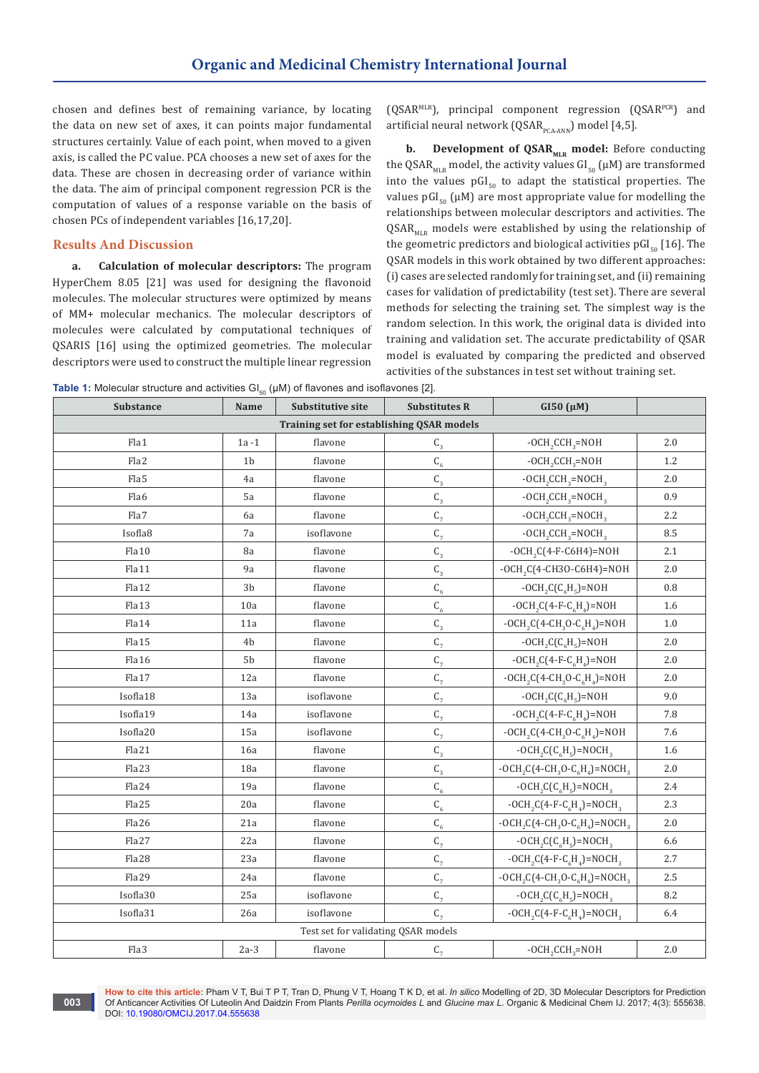chosen and defines best of remaining variance, by locating the data on new set of axes, it can points major fundamental structures certainly. Value of each point, when moved to a given axis, is called the PC value. PCA chooses a new set of axes for the data. These are chosen in decreasing order of variance within the data. The aim of principal component regression PCR is the computation of values of a response variable on the basis of chosen PCs of independent variables [16,17,20].

### **Results And Discussion**

**003**

**a. Calculation of molecular descriptors:** The program HyperChem 8.05 [21] was used for designing the flavonoid molecules. The molecular structures were optimized by means of MM+ molecular mechanics. The molecular descriptors of molecules were calculated by computational techniques of QSARIS [16] using the optimized geometries. The molecular descriptors were used to construct the multiple linear regression

(QSARMLR), principal component regression (QSARPCR) and artificial neural network (QSAR<sub>PCA-ANN</sub>) model [4,5].

**b. Development of QSAR<sub>MLR</sub> model:** Before conducting the QSAR<sub>MLR</sub> model, the activity values  $GI_{50}$  ( $\mu$ M) are transformed into the values  $pGI_{50}$  to adapt the statistical properties. The values pGI<sub>50</sub> ( $\mu$ M) are most appropriate value for modelling the relationships between molecular descriptors and activities. The  $QSAR_{MIR}$  models were established by using the relationship of the geometric predictors and biological activities pGI<sub>50</sub> [16]. The QSAR models in this work obtained by two different approaches: (i) cases are selected randomly for training set, and (ii) remaining cases for validation of predictability (test set). There are several methods for selecting the training set. The simplest way is the random selection. In this work, the original data is divided into training and validation set. The accurate predictability of QSAR model is evaluated by comparing the predicted and observed activities of the substances in test set without training set.

**Table 1:** Molecular structure and activities  $GI_{50}$  ( $µM$ ) of flavones and isoflavones [2].

| Substance                                 | <b>Substitutive site</b><br>Name |            | <b>Substitutes R</b>    | $GI50 (\mu M)$                     |         |  |  |  |
|-------------------------------------------|----------------------------------|------------|-------------------------|------------------------------------|---------|--|--|--|
| Training set for establishing QSAR models |                                  |            |                         |                                    |         |  |  |  |
| Fla1                                      | $1a-1$                           | flavone    | $\textsf{C}_\textsf{3}$ | $- OCH2 CCH3=NOH$                  | 2.0     |  |  |  |
| Fla2                                      | 1 <sub>b</sub>                   | flavone    | $\textsf{C}_6$          |                                    | 1.2     |  |  |  |
| Fla5                                      | 4a                               | flavone    | $\mathsf{C}_3$          | $-OCH_2CCH_3=NOCH_3$               | 2.0     |  |  |  |
| Fla6                                      | 5a                               | flavone    | $C_{3}$                 | $-OCH_{2}CCH_{3}=NOCH_{3}$         | 0.9     |  |  |  |
| Fla7                                      | 6a                               | flavone    | $C_{7}$                 | $-OCH_{2}CCH_{3}=NOCH_{3}$         | 2.2     |  |  |  |
| Isofla8                                   | 7a                               | isoflavone | $C_7$                   | $- OCH_{2}CCH_{3} = NOCH_{3}$      | 8.5     |  |  |  |
| Fla10                                     | 8a                               | flavone    | $\mathsf{C}_\mathsf{3}$ | $-OCH2C(4-F-C6H4)=NOH$             | 2.1     |  |  |  |
| Fla11                                     | 9a                               | flavone    | $\mathsf{C}_\mathsf{3}$ | $-OCH2C(4-CH3O-C6H4)=NOH$          | 2.0     |  |  |  |
| Fla12                                     | 3b                               | flavone    | $\textsf{C}_6$          | $- OCH2C(C6H5) = NOH$              | 0.8     |  |  |  |
| Fla13                                     | 10a                              | flavone    | $C_{6}$                 | $-OCH2C(4-F-C6H4)=NOH$             | 1.6     |  |  |  |
| Fla14                                     | 11a                              | flavone    | $\mathsf{C}_\mathsf{3}$ | $- OCH_2C(4-CH_3O-C_6H_4)=NOH$     | 1.0     |  |  |  |
| Fla15                                     | 4 <sub>b</sub>                   | flavone    | $C_7$                   | $- OCH2C(C6H5) = NOH$              | 2.0     |  |  |  |
| Fla16                                     | 5b                               | flavone    | $C_7$                   | $- OCH2C(4-F-C6H4) = NOH$          | 2.0     |  |  |  |
| Fla17                                     | 12a                              | flavone    | $C_7$                   | $- OCH_2C(4-CH_3O-C_6H_4)=NOH$     | 2.0     |  |  |  |
| Isofla18                                  | 13a                              | isoflavone | $\mathrm{C}_7$          | $- OCH2 C(C6H5) = NOH$             | 9.0     |  |  |  |
| Isofla19                                  | 14a                              | isoflavone | $C_7$                   | $- OCH2C(4-F-C6H4) = NOH$          | 7.8     |  |  |  |
| Isofla20                                  | 15a                              | isoflavone | $C_7$                   | $- OCH_2C(4-CH_3O-C_6H_4)=NOH$     | 7.6     |  |  |  |
| Fla21                                     | 16a                              | flavone    | $\mathsf{C}_\mathsf{3}$ | $- OCH_2C(C_6H_5)=NOCH_3$          | 1.6     |  |  |  |
| Fla23                                     | 18a                              | flavone    | $\mathsf{C}_\mathsf{3}$ | $- OCH_2C(4-CH_3O-C_6H_4)=N OCH_3$ | 2.0     |  |  |  |
| Fla24                                     | 19a                              | flavone    | $\textsf{C}_6$          | $- OCH2C(C6H5) = NOCH3$            | 2.4     |  |  |  |
| Fla25                                     | 20a                              | flavone    | $C_{6}$                 | $- OCH_2C(4-F-C_6H_4)=N OCH_3$     | 2.3     |  |  |  |
| Fla26                                     | 21a                              | flavone    | $\textsf{C}_6$          | $- OCH_2C(4-CH_3O-C_6H_4)=N OCH_3$ | 2.0     |  |  |  |
| Fla27                                     | 22a                              | flavone    | $\mathsf{C}_7$          | $- OCH2C(C6H5) = NOCH3$            | 6.6     |  |  |  |
| Fla28                                     | 23a                              | flavone    | $C_7$                   | $- OCH_2C(4-F-C_6H_4)=NOCH_3$      | 2.7     |  |  |  |
| Fla29                                     | 24a                              | flavone    | $C_7$                   | $-OCH_2C(4-CH_3O-C_6H_4)=NOCH_3$   | 2.5     |  |  |  |
| Isofla30                                  | 25a                              | isoflavone | $C_{7}$                 | $- OCH_2C(C_6H_5)=NOCH_3$          | 8.2     |  |  |  |
| Isofla31                                  | 26a                              | isoflavone | $C_7$                   | $- OCH_2C(4-F-C_6H_4)=N OCH_3$     | 6.4     |  |  |  |
| Test set for validating QSAR models       |                                  |            |                         |                                    |         |  |  |  |
| Fla3                                      | $2a-3$                           | flavone    | $\mathsf{C}_7$          | $- OCH2 CCH3=NOH$                  | $2.0\,$ |  |  |  |

**How to cite this article:** Pham V T, Bui T P T, Tran D, Phung V T, Hoang T K D, et al. *In silico* Modelling of 2D, 3D Molecular Descriptors for Prediction Of Anticancer Activities Of Luteolin And Daidzin From Plants *Perilla ocymoides L* and *Glucine max L*. Organic & Medicinal Chem IJ. 2017; 4(3): 555638. DOI: [10.19080/OMCIJ.2017.04.555638](http://dx.doi.org/10.19080/omcij.2017.04.555638)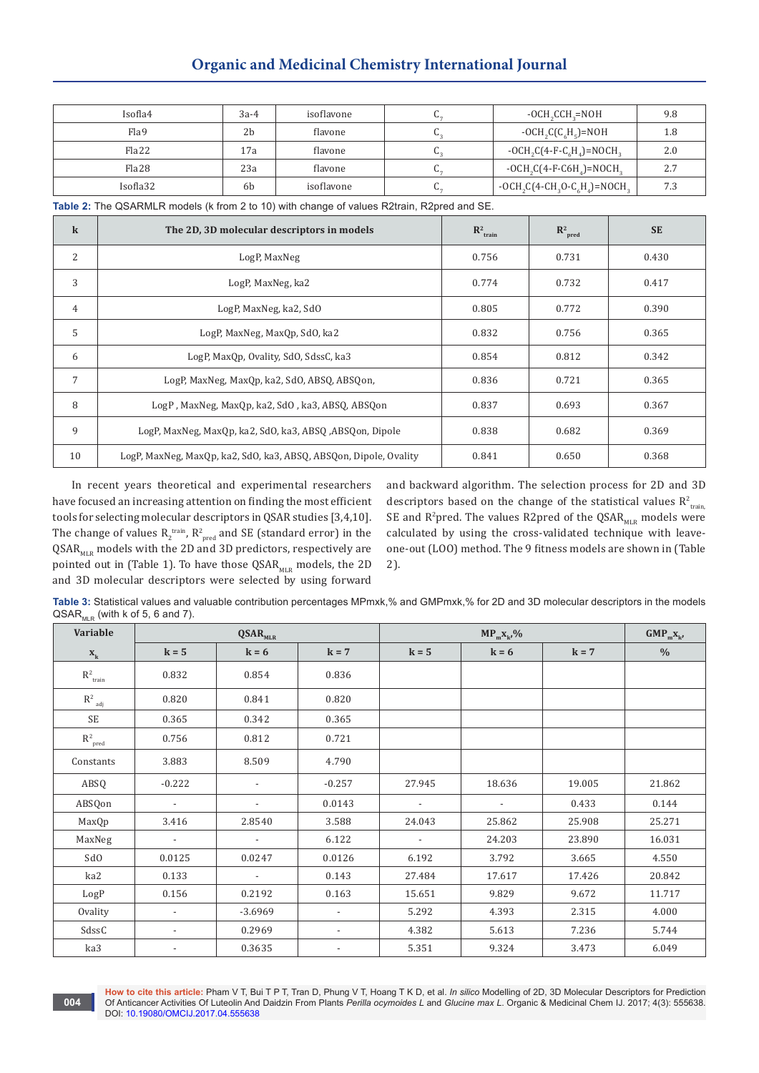# **Organic and Medicinal Chemistry International Journal**

| Isofla4  | $3a-4$ | isoflavone | $-OCH_{2}CCH_{2}=NOH$                | 9.8 |
|----------|--------|------------|--------------------------------------|-----|
| Flag     | 2b     | flavone    | $- OCH2C(C6H5) = NOH$                | 1.8 |
| Fla22    | 17a    | flavone    | $-OCH_{2}C(4-F-C_{c}H_{2})=NOCH_{2}$ | 2.0 |
| Fla28    | 23a    | flavone    | $-OCH2C(4-F-C6H4)=NOCH2$             | 2.7 |
| Isofla32 | 6b     | isoflavone | $-OCH_2C(4-CH_3O-C_6H_4)=NOCH_3$     | 7.3 |

**Table 2:** The QSARMLR models (k from 2 to 10) with change of values R2train, R2pred and SE.

| $\bf k$        | The 2D, 3D molecular descriptors in models                        | $R^2$ <sub>train</sub> | $\mathbb{R}^2$<br>pred | <b>SE</b> |
|----------------|-------------------------------------------------------------------|------------------------|------------------------|-----------|
| 2              | LogP, MaxNeg                                                      | 0.756                  | 0.731                  | 0.430     |
| 3              | LogP, MaxNeg, ka2                                                 | 0.774                  | 0.732                  | 0.417     |
| $\overline{4}$ | LogP, MaxNeg, ka2, SdO                                            | 0.805                  | 0.772                  | 0.390     |
| 5              | LogP, MaxNeg, MaxQp, SdO, ka2                                     | 0.832                  | 0.756                  | 0.365     |
| 6              | LogP, MaxQp, Ovality, SdO, SdssC, ka3                             | 0.854                  | 0.812                  | 0.342     |
| 7              | LogP, MaxNeg, MaxQp, ka2, SdO, ABSQ, ABSQon,                      | 0.836                  | 0.721                  | 0.365     |
| 8              | LogP, MaxNeg, MaxQp, ka2, SdO, ka3, ABSQ, ABSQon                  | 0.837                  | 0.693                  | 0.367     |
| 9              | LogP, MaxNeg, MaxQp, ka2, SdO, ka3, ABSQ, ABSQon, Dipole          | 0.838                  | 0.682                  | 0.369     |
| 10             | LogP, MaxNeg, MaxQp, ka2, SdO, ka3, ABSQ, ABSQon, Dipole, Ovality | 0.841                  | 0.650                  | 0.368     |

In recent years theoretical and experimental researchers have focused an increasing attention on finding the most efficient tools for selecting molecular descriptors in QSAR studies [3,4,10]. The change of values  $R_2^{\text{train}}$ ,  $R_{\text{pred}}^2$  and SE (standard error) in the  $QSAR<sub>MLR</sub>$  models with the 2D and 3D predictors, respectively are pointed out in (Table 1). To have those  $\text{QSAR}_{\text{MLR}}$  models, the 2D and 3D molecular descriptors were selected by using forward

**004**

and backward algorithm. The selection process for 2D and 3D descriptors based on the change of the statistical values  $R^2_{train}$ SE and R<sup>2</sup>pred. The values R2pred of the  $\text{QSAR}_{_{\text{MLR}}}$  models were calculated by using the cross-validated technique with leaveone-out (LOO) method. The 9 fitness models are shown in (Table 2).

**Table 3:** Statistical values and valuable contribution percentages MPmxk,% and GMPmxk,% for 2D and 3D molecular descriptors in the models  $QSAR<sub>MIR</sub>$  (with k of 5, 6 and 7).

| IVILIA :<br>Variable                | $\mathbf{QSAR}_{\text{MLR}}$ |                          |                          |                          | $GMP_{m}X_{k'}$          |         |               |
|-------------------------------------|------------------------------|--------------------------|--------------------------|--------------------------|--------------------------|---------|---------------|
| $\mathbf{X}_\mathrm{k}$             | $k = 5$                      | $k = 6$                  | $k = 7$                  | $k = 5$                  | $k = 6$                  | $k = 7$ | $\frac{0}{0}$ |
| $\mathrm{R}^2_{\ \,\mathrm{train}}$ | 0.832                        | 0.854                    | 0.836                    |                          |                          |         |               |
| $\mathbf{R}^2$ $_{\text{adj}}$      | 0.820                        | 0.841                    | 0.820                    |                          |                          |         |               |
| SE                                  | 0.365                        | 0.342                    | 0.365                    |                          |                          |         |               |
| $\mathbf{R}^2_{\;\;\text{pred}}$    | 0.756                        | 0.812                    | 0.721                    |                          |                          |         |               |
| Constants                           | 3.883                        | 8.509                    | 4.790                    |                          |                          |         |               |
| ABSQ                                | $-0.222$                     | $\overline{a}$           | $-0.257$                 | 27.945                   | 18.636                   | 19.005  | 21.862        |
| ABSQon                              | $\overline{\phantom{a}}$     | $\overline{a}$           | 0.0143                   | $\overline{\phantom{a}}$ | $\overline{\phantom{a}}$ | 0.433   | 0.144         |
| MaxQp                               | 3.416                        | 2.8540                   | 3.588                    | 24.043                   | 25.862                   | 25.908  | 25.271        |
| MaxNeg                              | $\overline{\phantom{a}}$     | $\overline{\phantom{a}}$ | 6.122                    | $\overline{\phantom{a}}$ | 24.203                   | 23.890  | 16.031        |
| SdO                                 | 0.0125                       | 0.0247                   | 0.0126                   | 6.192                    | 3.792                    | 3.665   | 4.550         |
| ka2                                 | 0.133                        | $\overline{\phantom{a}}$ | 0.143                    | 27.484                   | 17.617                   | 17.426  | 20.842        |
| LogP                                | 0.156                        | 0.2192                   | 0.163                    | 15.651                   | 9.829                    | 9.672   | 11.717        |
| Ovality                             | $\overline{\phantom{a}}$     | $-3.6969$                | $\overline{\phantom{a}}$ | 5.292                    | 4.393                    | 2.315   | 4.000         |
| SdssC                               | $\overline{\phantom{a}}$     | 0.2969                   | $\overline{\phantom{a}}$ | 4.382                    | 5.613                    | 7.236   | 5.744         |
| ka3                                 | $\overline{\phantom{a}}$     | 0.3635                   | $\overline{\phantom{a}}$ | 5.351                    | 9.324                    | 3.473   | 6.049         |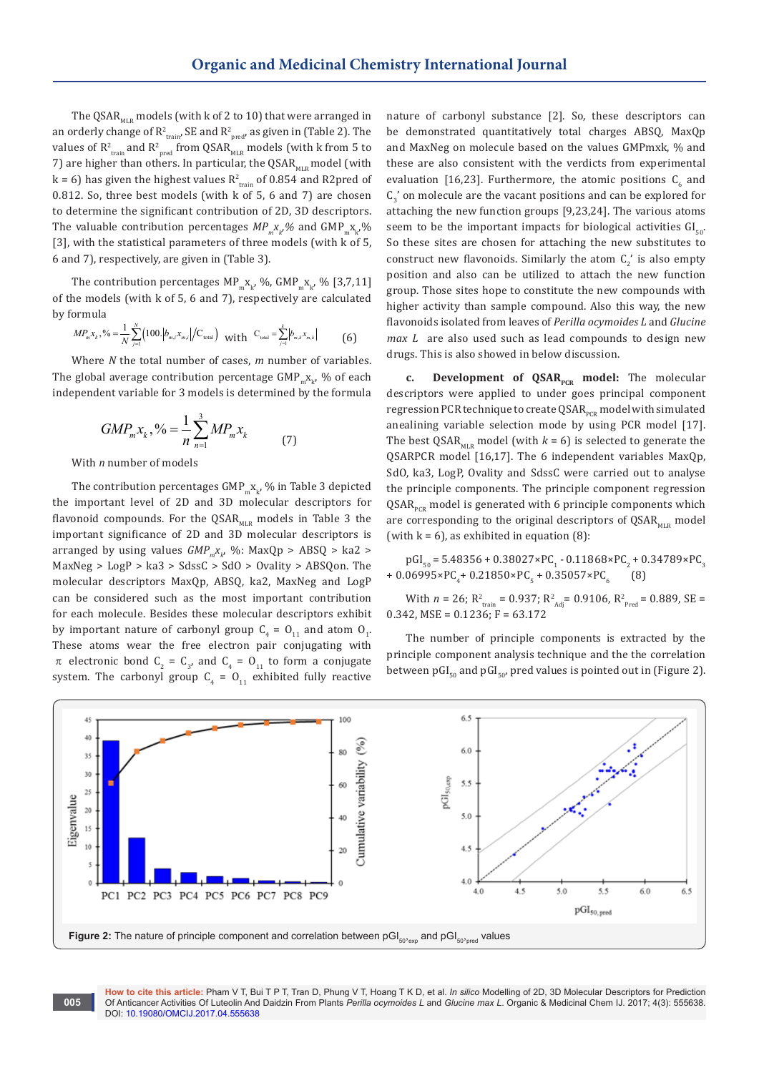The QSAR $_{\text{MLR}}$  models (with k of 2 to 10) that were arranged in an orderly change of  $\mathsf{R}^2_{\mathsf{train}}$ , SE and  $\mathsf{R}^2_{\mathsf{pred}}$ , as given in (Table 2). The values of  $\mathsf{R}^{\mathsf{2}}_{\mathsf{train}}$  and  $\mathsf{R}^{\mathsf{2}}_{\mathsf{pred}}$  from QSAR $_{\mathsf{MLR}}$  models (with  ${\mathsf k}$  from 5 to 7) are higher than others. In particular, the QSAR $_{\text{MLR}}$  model (with  $k$  = 6) has given the highest values  $R^2_{\text{train}}$  of 0.854 and R2pred of 0.812. So, three best models (with k of 5, 6 and 7) are chosen to determine the significant contribution of 2D, 3D descriptors. The valuable contribution percentages  $MP_{m}x_{k}$ % and  $GMP_{m}x_{k'}$ % [3], with the statistical parameters of three models (with k of 5, 6 and 7), respectively, are given in (Table 3).

The contribution percentages MP<sub>m</sub> $x_{k'}$ , %, GMP<sub>m</sub> $x_{k'}$ , % [3,7,11] of the models (with k of 5, 6 and 7), respectively are calculated by formula

$$
MP_{m}x_{k},\% = \frac{1}{N} \sum_{j=1}^{N} \left(100.\left|b_{m,l}x_{m,l}\right|/C_{\text{total}}\right) \text{ with } C_{\text{total}} = \sum_{j=1}^{k} \left|b_{m,k}x_{m,k}\right|
$$
 (6)

Where *N* the total number of cases, *m* number of variables. The global average contribution percentage  $\text{GMP}_{\mathfrak{m}}\mathbf{X}_{\mathbf{k}'}$  % of each independent variable for 3 models is determined by the formula

$$
GMP_{m}x_{k}, \frac{\%}{\ }=\frac{1}{n}\sum_{n=1}^{3}MP_{m}x_{k} \tag{7}
$$

With *n* number of models

The contribution percentages  $\mathtt{GMP_{m}X_{k^{\prime}}}$  % in Table 3 depicted the important level of 2D and 3D molecular descriptors for flavonoid compounds. For the  $QSAR_{MLR}$  models in Table 3 the important significance of 2D and 3D molecular descriptors is arranged by using values  $GMP_{m}x_{k}$ , %: MaxQp > ABSQ > ka2 > MaxNeg > LogP > ka3 > SdssC > SdO > Ovality > ABSQon. The molecular descriptors MaxQp, ABSQ, ka2, MaxNeg and LogP can be considered such as the most important contribution for each molecule. Besides these molecular descriptors exhibit by important nature of carbonyl group  $C_4 = O_{11}$  and atom  $O_1$ . These atoms wear the free electron pair conjugating with  $\pi$  electronic bond  $C_2 = C_3$ , and  $C_4 = O_{11}$  to form a conjugate system. The carbonyl group  $C_4 = O_{11}$  exhibited fully reactive nature of carbonyl substance [2]. So, these descriptors can be demonstrated quantitatively total charges ABSQ, MaxQp and MaxNeg on molecule based on the values GMPmxk, % and these are also consistent with the verdicts from experimental evaluation [16,23]. Furthermore, the atomic positions  $C_6$  and  $\mathsf{C}_3^\times$  on molecule are the vacant positions and can be explored for attaching the new function groups [9,23,24]. The various atoms seem to be the important impacts for biological activities  $GI_{50}$ . So these sites are chosen for attaching the new substitutes to construct new flavonoids. Similarly the atom  $C_2$  is also empty position and also can be utilized to attach the new function group. Those sites hope to constitute the new compounds with higher activity than sample compound. Also this way, the new flavonoids isolated from leaves of *Perilla ocymoides L* and *Glucine max L* are also used such as lead compounds to design new drugs. This is also showed in below discussion.

**c. Development of QSAR**<sub>PCR</sub> model: The molecular descriptors were applied to under goes principal component regression PCR technique to create QSAR<sub>PCR</sub> model with simulated anealining variable selection mode by using PCR model [17]. The best QSAR<sub>MLR</sub> model (with  $k = 6$ ) is selected to generate the QSARPCR model [16,17]. The 6 independent variables MaxQp, SdO, ka3, LogP, Ovality and SdssC were carried out to analyse the principle components. The principle component regression  $QSAR<sub>pcR</sub>$  model is generated with 6 principle components which are corresponding to the original descriptors of  $QSAR<sub>MLE</sub>$  model (with  $k = 6$ ), as exhibited in equation  $(8)$ :

 $pGI_{50}$  = 5.48356 + 0.38027×PC<sub>1</sub> - 0.11868×PC<sub>2</sub> + 0.34789×PC<sub>3</sub> + 0.06995×PC<sub>4</sub>+ 0.21850×PC<sub>5</sub> + 0.35057×PC<sub>6</sub> (8)

With  $n = 26$ ;  $R^2_{\text{train}} = 0.937$ ;  $R^2_{\text{Adj}} = 0.9106$ ,  $R^2_{\text{Pred}} = 0.889$ , SE =  $0.342$ , MSE =  $0.1236$ ; F =  $63.172$ 

The number of principle components is extracted by the principle component analysis technique and the the correlation between pGI<sub>50</sub> and pGI<sub>50</sub>, pred values is pointed out in (Figure 2).



**How to cite this article:** Pham V T, Bui T P T, Tran D, Phung V T, Hoang T K D, et al. *In silico* Modelling of 2D, 3D Molecular Descriptors for Prediction Of Anticancer Activities Of Luteolin And Daidzin From Plants *Perilla ocymoides L* and *Glucine max L*. Organic & Medicinal Chem IJ. 2017; 4(3): 555638. DOI: [10.19080/OMCIJ.2017.04.555638](http://dx.doi.org/10.19080/omcij.2017.04.555638)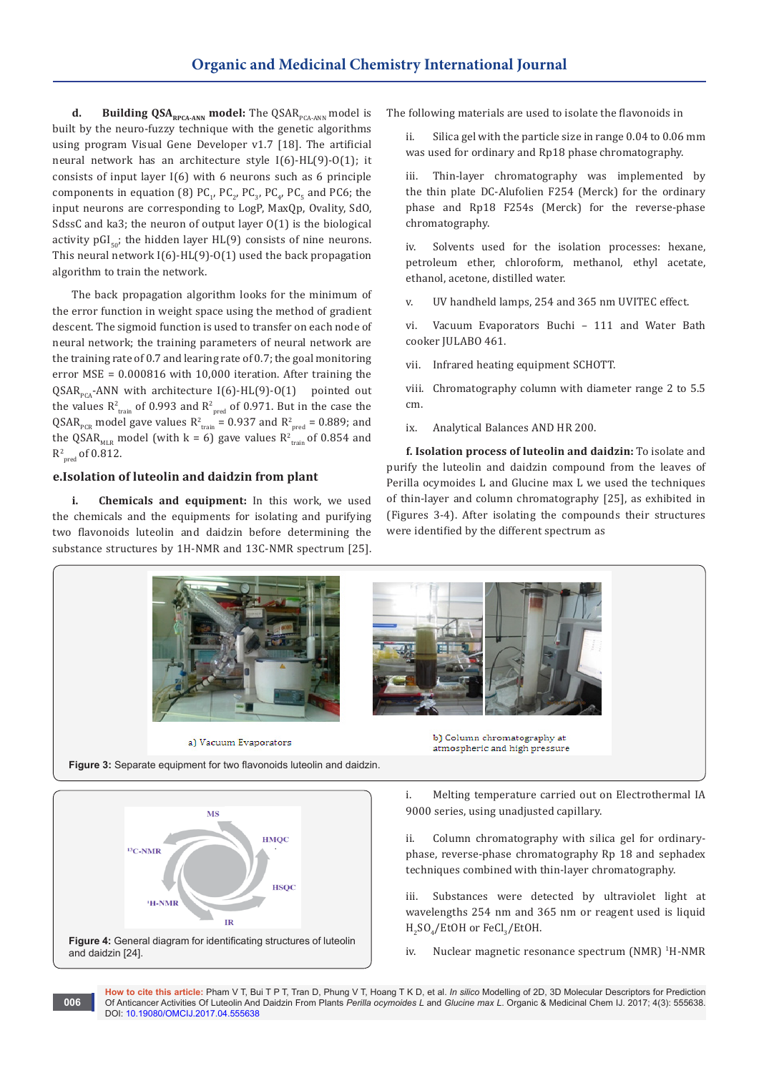**d.** Building QSA<sub>RPCA-ANN</sub> model: The QSAR<sub>PCA-ANN</sub> model is built by the neuro-fuzzy technique with the genetic algorithms using program Visual Gene Developer v1.7 [18]. The artificial neural network has an architecture style I(6)-HL(9)-O(1); it consists of input layer I(6) with 6 neurons such as 6 principle components in equation (8)  $PC_{1}$ ,  $PC_{2}$ ,  $PC_{3}$ ,  $PC_{4}$ ,  $PC_{5}$  and PC6; the input neurons are corresponding to LogP, MaxQp, Ovality, SdO, SdssC and ka3; the neuron of output layer O(1) is the biological activity  $pGL_{50}$ ; the hidden layer HL(9) consists of nine neurons. This neural network  $I(6)$ -HL $(9)$ -O $(1)$  used the back propagation algorithm to train the network.

The back propagation algorithm looks for the minimum of the error function in weight space using the method of gradient descent. The sigmoid function is used to transfer on each node of neural network; the training parameters of neural network are the training rate of 0.7 and learing rate of 0.7; the goal monitoring error MSE = 0.000816 with 10,000 iteration. After training the QSAR<sub>pcA</sub>-ANN with architecture I(6)-HL(9)-O(1) pointed out the values  $R^2_{train}$  of 0.993 and  $R^2_{pred}$  of 0.971. But in the case the QSAR<sub>pcR</sub> model gave values  $R^2_{train}$  = 0.937 and  $R^2_{pred}$  = 0.889; and the QSAR<sub>MLR</sub> model (with  $k = 6$ ) gave values  $R^2_{train}$  of 0.854 and  $R^2_{\text{pred}}$  of 0.812.

# **e.Isolation of luteolin and daidzin from plant**

**i. Chemicals and equipment:** In this work, we used the chemicals and the equipments for isolating and purifying two flavonoids luteolin and daidzin before determining the substance structures by 1H-NMR and 13C-NMR spectrum [25]. The following materials are used to isolate the flavonoids in

ii. Silica gel with the particle size in range 0.04 to 0.06 mm was used for ordinary and Rp18 phase chromatography.

iii. Thin-layer chromatography was implemented by the thin plate DC-Alufolien F254 (Merck) for the ordinary phase and Rp18 F254s (Merck) for the reverse-phase chromatography.

Solvents used for the isolation processes: hexane, petroleum ether, chloroform, methanol, ethyl acetate, ethanol, acetone, distilled water.

v. UV handheld lamps, 254 and 365 nm UVITEC effect.

vi. Vacuum Evaporators Buchi – 111 and Water Bath cooker JULABO 461.

vii. Infrared heating equipment SCHOTT.

viii. Chromatography column with diameter range 2 to 5.5 cm.

ix. Analytical Balances AND HR 200.

**f. Isolation process of luteolin and daidzin:** To isolate and purify the luteolin and daidzin compound from the leaves of Perilla ocymoides L and Glucine max L we used the techniques of thin-layer and column chromatography [25], as exhibited in (Figures 3-4). After isolating the compounds their structures were identified by the different spectrum as



 $H<sub>2</sub>SO<sub>4</sub>/E$ tOH or FeCl<sub>3</sub>/EtOH.

iv. Nuclear magnetic resonance spectrum (NMR) <sup>1</sup>H-NMR

**How to cite this article:** Pham V T, Bui T P T, Tran D, Phung V T, Hoang T K D, et al. *In silico* Modelling of 2D, 3D Molecular Descriptors for Prediction Of Anticancer Activities Of Luteolin And Daidzin From Plants *Perilla ocymoides L* and *Glucine max L*. Organic & Medicinal Chem IJ. 2017; 4(3): 555638. DOI: [10.19080/OMCIJ.2017.04.555638](http://dx.doi.org/10.19080/omcij.2017.04.555638)



**006**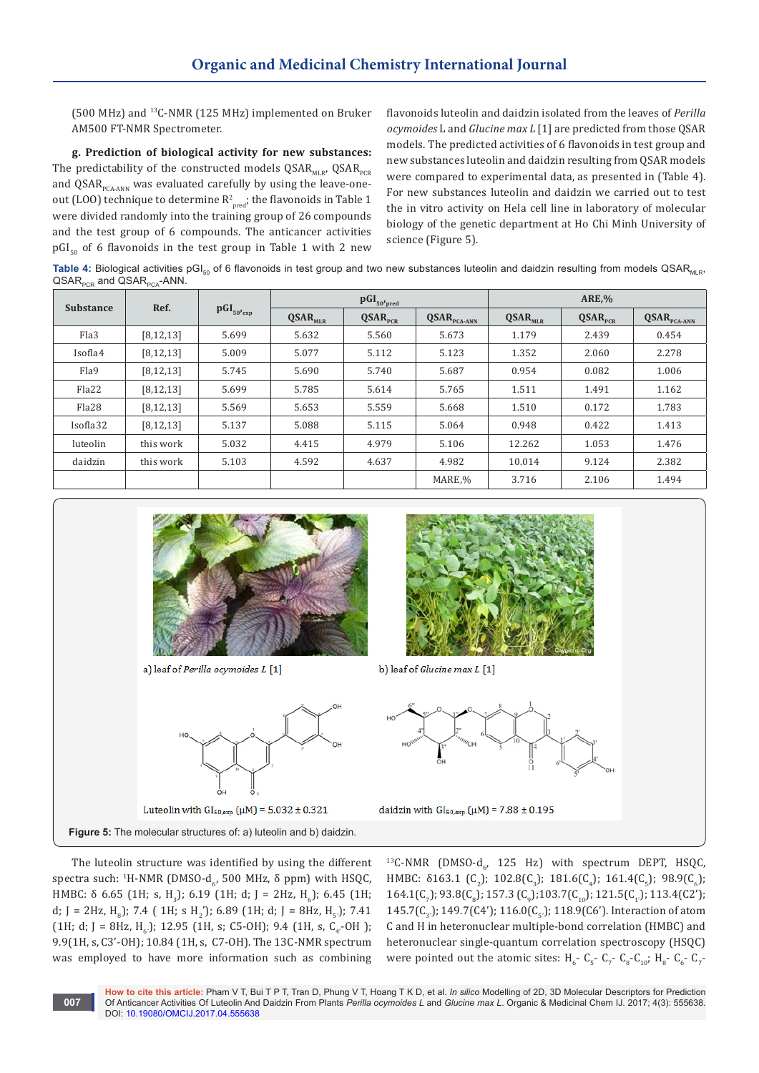(500 MHz) and <sup>13</sup>C-NMR (125 MHz) implemented on Bruker AM500 FT-NMR Spectrometer.

**g. Prediction of biological activity for new substances:**  The predictability of the constructed models  $QSAR_{MLR}$ ,  $QSAR_{PCR}$ and QSAR $_{PCA-ANN}$  was evaluated carefully by using the leave-oneout (LOO) technique to determine  $R^2_{\text{pred}}$ ; the flavonoids in Table 1 were divided randomly into the training group of 26 compounds and the test group of 6 compounds. The anticancer activities  $pGI<sub>50</sub>$  of 6 flavonoids in the test group in Table 1 with 2 new

flavonoids luteolin and daidzin isolated from the leaves of *Perilla ocymoides* L and *Glucine max L* [1] are predicted from those QSAR models. The predicted activities of 6 flavonoids in test group and new substances luteolin and daidzin resulting from QSAR models were compared to experimental data, as presented in (Table 4). For new substances luteolin and daidzin we carried out to test the in vitro activity on Hela cell line in laboratory of molecular biology of the genetic department at Ho Chi Minh University of science (Figure 5).

Table 4: Biological activities pGI<sub>50</sub> of 6 flavonoids in test group and two new substances luteolin and daidzin resulting from models QSAR<sub>MLR</sub>,  $\mathsf{QSAR}_{\mathsf{PCR}}$  and  $\mathsf{QSAR}_{\mathsf{PCA}}$ -ANN.

| <b>Substance</b>  | Ref.        | $pGI_{50'exp}$ | $\operatorname{pGL}_{{50\text{-}pred}}$ |                       |                           | <b>ARE,%</b>          |                       |                           |
|-------------------|-------------|----------------|-----------------------------------------|-----------------------|---------------------------|-----------------------|-----------------------|---------------------------|
|                   |             |                | $QSAR$ <sub>MLR</sub>                   | $QSAR$ <sub>PCR</sub> | $QSAR$ <sub>PCA-ANN</sub> | $QSAR$ <sub>MLR</sub> | $QSAR$ <sub>PCR</sub> | $QSAR$ <sub>PCA-ANN</sub> |
| Fla3              | [8, 12, 13] | 5.699          | 5.632                                   | 5.560                 | 5.673                     | 1.179                 | 2.439                 | 0.454                     |
| Isofla4           | [8, 12, 13] | 5.009          | 5.077                                   | 5.112                 | 5.123                     | 1.352                 | 2.060                 | 2.278                     |
| Fla9              | [8, 12, 13] | 5.745          | 5.690                                   | 5.740                 | 5.687                     | 0.954                 | 0.082                 | 1.006                     |
| Fla22             | [8, 12, 13] | 5.699          | 5.785                                   | 5.614                 | 5.765                     | 1.511                 | 1.491                 | 1.162                     |
| Fla <sub>28</sub> | [8, 12, 13] | 5.569          | 5.653                                   | 5.559                 | 5.668                     | 1.510                 | 0.172                 | 1.783                     |
| Isofla32          | [8, 12, 13] | 5.137          | 5.088                                   | 5.115                 | 5.064                     | 0.948                 | 0.422                 | 1.413                     |
| luteolin          | this work   | 5.032          | 4.415                                   | 4.979                 | 5.106                     | 12.262                | 1.053                 | 1.476                     |
| daidzin           | this work   | 5.103          | 4.592                                   | 4.637                 | 4.982                     | 10.014                | 9.124                 | 2.382                     |
|                   |             |                |                                         |                       | MARE,%                    | 3.716                 | 2.106                 | 1.494                     |



The luteolin structure was identified by using the different spectra such: <sup>1</sup>H-NMR (DMSO-d<sub>6</sub>, 500 MHz, δ ppm) with HSQC, HMBC: δ 6.65 (1H; s, H<sub>3</sub>); 6.19 (1H; d; J = 2Hz, H<sub>6</sub>); 6.45 (1H; d;  $J = 2Hz$ ,  $H_8$ ); 7.4 ( 1H; s  $H_2$ <sup>'</sup>); 6.89 (1H; d;  $J = 8Hz$ ,  $H_5$ .); 7.41 (1H; d; J = 8Hz, H<sub>6</sub>); 12.95 (1H, s; C5-OH); 9.4 (1H, s, C<sub>4</sub>-OH); 9.9(1H, s, C3'-OH); 10.84 (1H, s, C7-OH). The 13C-NMR spectrum was employed to have more information such as combining <sup>13</sup>C-NMR (DMSO-d<sub>6</sub>, 125 Hz) with spectrum DEPT, HSQC, HMBC:  $\delta$ 163.1 (C<sub>2</sub>); 102.8(C<sub>3</sub>); 181.6(C<sub>4</sub>); 161.4(C<sub>5</sub>); 98.9(C<sub>6</sub>); 164.1(C<sub>7</sub>); 93.8(C<sub>8</sub>); 157.3 (C<sub>9</sub>); 103.7(C<sub>10</sub>); 121.5(C<sub>1</sub>); 113.4(C2'); 145.7( $C_3$ ); 149.7( $C4'$ ); 116.0( $C_5$ ); 118.9( $C6'$ ). Interaction of atom C and H in heteronuclear multiple-bond correlation (HMBC) and heteronuclear single-quantum correlation spectroscopy (HSQC) were pointed out the atomic sites:  $H_6$ - C<sub>5</sub>- C<sub>7</sub>- C<sub>8</sub>-C<sub>10</sub>; H<sub>8</sub>- C<sub>6</sub>- C<sub>7</sub>-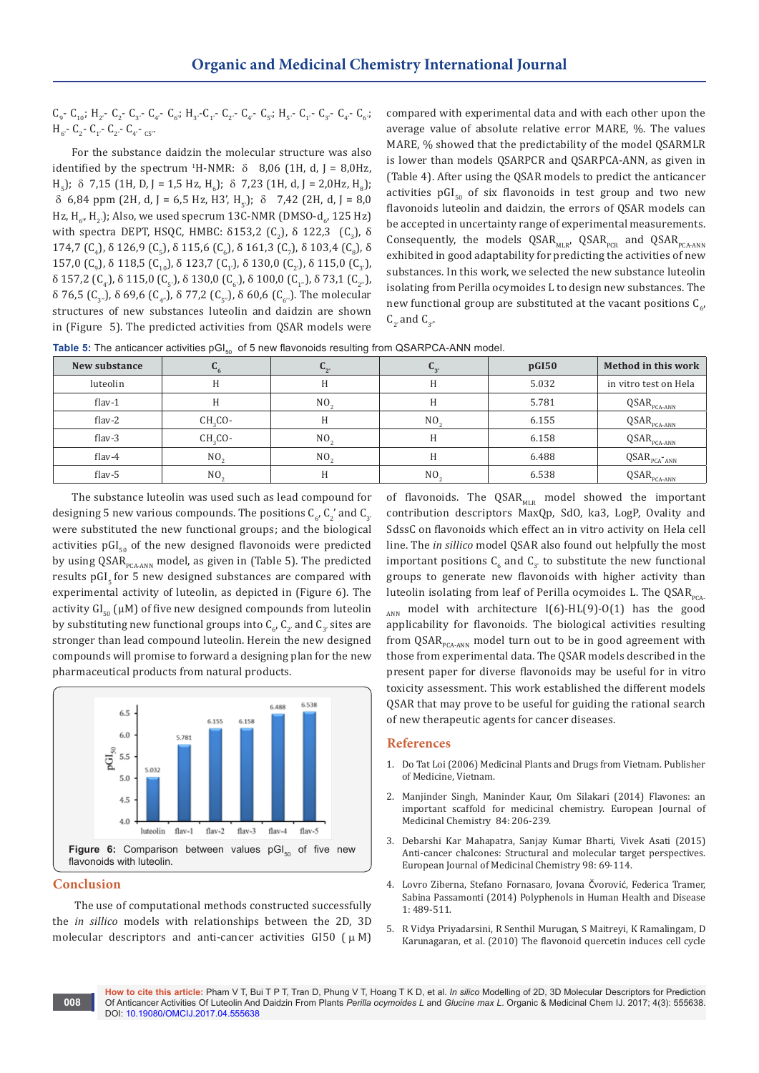$C_9$ -  $C_{10}$ ; H<sub>2</sub>- C<sub>2</sub>- C<sub>3</sub>- C<sub>4</sub>- C<sub>4</sub>- C<sub>6'</sub>; H<sub>3</sub>-C<sub>1</sub>- C<sub>2</sub>- C<sub>4</sub>- C<sub>5'</sub>; H<sub>5'</sub>- C<sub>1</sub>- C<sub>3</sub>- C<sub>4'</sub>- C<sub>6'</sub>;  $H_{6}$ - C<sub>2</sub>- C<sub>1</sub>- C<sub>2</sub>- C<sub>4</sub>- <sub>C5</sub>.

For the substance daidzin the molecular structure was also identified by the spectrum <sup>1</sup>H-NMR:  $\delta$  8,06 (1H, d, J = 8,0Hz,  $H_5$ );  $\delta$  7,15 (1H, D, J = 1,5 Hz, H<sub>6</sub>);  $\delta$  7,23 (1H, d, J = 2,0Hz, H<sub>8</sub>);  $\delta$  6,84 ppm (2H, d, J = 6,5 Hz, H3', H<sub>r</sub>);  $\delta$  7,42 (2H, d, J = 8,0) Hz, H<sub>6'</sub>, H<sub>2</sub>.); Also, we used specrum 13C-NMR (DMSO-d<sub>6</sub>, 125 Hz) with spectra DEPT, HSQC, HMBC:  $\delta$ 153,2 (C<sub>2</sub>),  $\delta$  122,3 (C<sub>3</sub>),  $\delta$ 174,7  $(C_4)$ , δ 126,9  $(C_5)$ , δ 115,6  $(C_6)$ , δ 161,3  $(C_7)$ , δ 103,4  $(C_8)$ , δ 157,0 (C<sub>9</sub>), δ 118,5 (C<sub>10</sub>), δ 123,7 (C<sub>1'</sub>), δ 130,0 (C<sub>2'</sub>), δ 115,0 (C<sub>3'</sub>),  $\delta$  157,2 (C<sub>4</sub>'), δ 115,0 (C<sub>5'</sub>'), δ 130,0 (C<sub>6'</sub>'), δ 100,0 (C<sub>1'</sub>'), δ 73,1 (C<sub>2''</sub>'),  $\delta$  76,5 (C<sub>3</sub>, ), δ 69,6 (C<sub>4</sub>, ), δ 77,2 (C<sub>5</sub>, ), δ 60,6 (C<sub>6</sub>, ). The molecular structures of new substances luteolin and daidzin are shown in (Figure 5). The predicted activities from QSAR models were

compared with experimental data and with each other upon the average value of absolute relative error MARE, %. The values MARE, % showed that the predictability of the model QSARMLR is lower than models QSARPCR and QSARPCA-ANN, as given in (Table 4). After using the QSAR models to predict the anticancer activities  $pGI_{50}$  of six flavonoids in test group and two new flavonoids luteolin and daidzin, the errors of QSAR models can be accepted in uncertainty range of experimental measurements. Consequently, the models  $QSAR_{MLR}$ ,  $QSAR_{PCR}$  and  $QSAR_{PCR-ANN}$ exhibited in good adaptability for predicting the activities of new substances. In this work, we selected the new substance luteolin isolating from Perilla ocymoides L to design new substances. The new functional group are substituted at the vacant positions  $\mathsf{C}_{6'}$  $C_2$ , and  $C_3$ .

| Table 5: The anticancer activities $pGI_{s0}$ of 5 new flavonoids resulting from QSARPCA-ANN model. |
|-----------------------------------------------------------------------------------------------------|
|-----------------------------------------------------------------------------------------------------|

| New substance | $L_{6}$         | $\mathbf{u}_{2}$ | $\mathbf{u}_{3}$ | pGI50 | Method in this work                                  |
|---------------|-----------------|------------------|------------------|-------|------------------------------------------------------|
| luteolin      | Η               |                  | H                | 5.032 | in vitro test on Hela                                |
| $flav-1$      | H               | NO.              | H                | 5.781 | $QSAR$ <sub>PCA-ANN</sub>                            |
| flav- $2$     | $CH2CO-$        | Н                | NO <sub>2</sub>  | 6.155 | $QSAR$ <sub>PCA-ANN</sub>                            |
| flav- $3$     | $CH2CO-$        | NO.              | Н                | 6.158 | $QSAR$ <sub>PCA-ANN</sub>                            |
| flav- $4$     | NO <sub>2</sub> | NO <sub>2</sub>  | H                | 6.488 | $\textsf{QSAR}_{\texttt{PCA}^\text{-} \texttt{ANN}}$ |
| flav- $5$     | NO <sub>2</sub> |                  | NO.              | 6.538 | $QSAR$ <sub>PCA-ANN</sub>                            |

The substance luteolin was used such as lead compound for designing 5 new various compounds. The positions  $\mathsf{C}_6$ ,  $\mathsf{C}_2^\times$  and  $\mathsf{C}_{3'}$ were substituted the new functional groups; and the biological activities  $pGI<sub>50</sub>$  of the new designed flavonoids were predicted by using QSAR<sub>PCA-ANN</sub> model, as given in (Table 5). The predicted results  $pGI<sub>5</sub>$  for 5 new designed substances are compared with experimental activity of luteolin, as depicted in (Figure 6). The activity  $GI_{50}$  ( $\mu$ M) of five new designed compounds from luteolin by substituting new functional groups into  $\mathsf{C}_{6'}$ ,  $\mathsf{C}_{2'}$  and  $\mathsf{C}_{3'}$  sites are stronger than lead compound luteolin. Herein the new designed compounds will promise to forward a designing plan for the new pharmaceutical products from natural products.



### **Conclusion**

**008**

The use of computational methods constructed successfully the *in sillico* models with relationships between the 2D, 3D molecular descriptors and anti-cancer activities GI50 ( $\mu$ M) of flavonoids. The  $QSAR<sub>MLR</sub>$  model showed the important contribution descriptors MaxQp, SdO, ka3, LogP, Ovality and SdssC on flavonoids which effect an in vitro activity on Hela cell line. The *in sillico* model QSAR also found out helpfully the most important positions  $C_6$  and  $C_{3'}$  to substitute the new functional groups to generate new flavonoids with higher activity than luteolin isolating from leaf of Perilla ocymoides L. The  $QSAR_{\text{max}}$  $_{ANN}$  model with architecture I(6)-HL(9)-O(1) has the good applicability for flavonoids. The biological activities resulting from  $QSAR<sub>PCA-ANN</sub>$  model turn out to be in good agreement with those from experimental data. The QSAR models described in the present paper for diverse flavonoids may be useful for in vitro toxicity assessment. This work established the different models QSAR that may prove to be useful for guiding the rational search of new therapeutic agents for cancer diseases.

### **References**

- 1. Do Tat Loi (2006) Medicinal Plants and Drugs from Vietnam. Publisher of Medicine, Vietnam.
- 2. [Manjinder Singh, Maninder Kaur, Om Silakari \(2014\) Flavones: an](https://www.ncbi.nlm.nih.gov/pubmed/25019478)  [important scaffold for medicinal chemistry. European Journal of](https://www.ncbi.nlm.nih.gov/pubmed/25019478)  [Medicinal Chemistry 84: 206-239.](https://www.ncbi.nlm.nih.gov/pubmed/25019478)
- 3. [Debarshi Kar Mahapatra, Sanjay Kumar Bharti, Vivek Asati \(2015\)](https://www.ncbi.nlm.nih.gov/pubmed/26005917)  [Anti-cancer chalcones: Structural and molecular target perspectives.](https://www.ncbi.nlm.nih.gov/pubmed/26005917)  [European Journal of Medicinal Chemistry 98: 69-114.](https://www.ncbi.nlm.nih.gov/pubmed/26005917)
- 4. Lovro Ziberna, Stefano Fornasaro, Jovana Čvorović, Federica Tramer, Sabina Passamonti (2014) Polyphenols in Human Health and Disease 1: 489-511.
- 5. [R Vidya Priyadarsini, R Senthil Murugan, S Maitreyi, K Ramalingam, D](https://www.ncbi.nlm.nih.gov/pubmed/20858478)  [Karunagaran, et al. \(2010\) The flavonoid quercetin induces cell cycle](https://www.ncbi.nlm.nih.gov/pubmed/20858478)